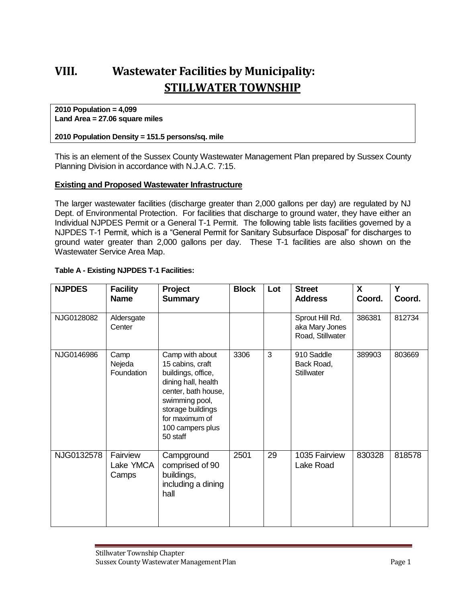# **VIII. Wastewater Facilities by Municipality: STILLWATER TOWNSHIP**

#### **2010 Population = 4,099 Land Area = 27.06 square miles**

#### **2010 Population Density = 151.5 persons/sq. mile**

This is an element of the Sussex County Wastewater Management Plan prepared by Sussex County Planning Division in accordance with N.J.A.C. 7:15.

### **Existing and Proposed Wastewater Infrastructure**

The larger wastewater facilities (discharge greater than 2,000 gallons per day) are regulated by NJ Dept. of Environmental Protection. For facilities that discharge to ground water, they have either an Individual NJPDES Permit or a General T-1 Permit. The following table lists facilities governed by a NJPDES T-1 Permit, which is a "General Permit for Sanitary Subsurface Disposal" for discharges to ground water greater than 2,000 gallons per day. These T-1 facilities are also shown on the Wastewater Service Area Map.

| <b>NJPDES</b> | <b>Facility</b><br><b>Name</b> | <b>Project</b><br><b>Summary</b>                                                                                                                                                                 | <b>Block</b> | Lot | <b>Street</b><br><b>Address</b>                       | X<br>Coord. | Υ<br>Coord. |
|---------------|--------------------------------|--------------------------------------------------------------------------------------------------------------------------------------------------------------------------------------------------|--------------|-----|-------------------------------------------------------|-------------|-------------|
| NJG0128082    | Aldersgate<br>Center           |                                                                                                                                                                                                  |              |     | Sprout Hill Rd.<br>aka Mary Jones<br>Road, Stillwater | 386381      | 812734      |
| NJG0146986    | Camp<br>Nejeda<br>Foundation   | Camp with about<br>15 cabins, craft<br>buildings, office,<br>dining hall, health<br>center, bath house,<br>swimming pool,<br>storage buildings<br>for maximum of<br>100 campers plus<br>50 staff | 3306         | 3   | 910 Saddle<br>Back Road,<br>Stillwater                | 389903      | 803669      |
| NJG0132578    | Fairview<br>Lake YMCA<br>Camps | Campground<br>comprised of 90<br>buildings,<br>including a dining<br>hall                                                                                                                        | 2501         | 29  | 1035 Fairview<br>Lake Road                            | 830328      | 818578      |

### **Table A - Existing NJPDES T-1 Facilities:**